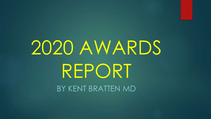# 2020 AWARDS REPORT BY KENT BRATTEN MD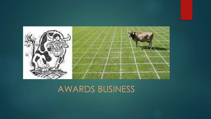

#### AWARDS BUSINESS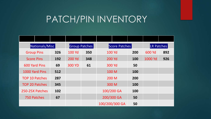#### PATCH/PIN INVENTORY

| Nationals/Misc        |     | Group Patches |     | Score Patches  |  | <b>LR Patches</b> |         |     |
|-----------------------|-----|---------------|-----|----------------|--|-------------------|---------|-----|
| <b>Group Pins</b>     | 326 | <b>100 Yd</b> | 350 | <b>100 Yd</b>  |  | 200               | 600 Yd  | 892 |
| <b>Score Pins</b>     | 192 | <b>200 Yd</b> | 348 | <b>200 Yd</b>  |  | 100               | 1000 Yd | 926 |
| <b>600 Yard Pins</b>  | 69  | <b>300 YD</b> | 61  | 300 Yd         |  | 50                |         |     |
| 1000 Yard Pins        | 512 |               |     | 100 M          |  | 100               |         |     |
| <b>TOP 10 Patches</b> | 287 |               |     | 200 M          |  | 200               |         |     |
| <b>TOP 20 Patches</b> | 345 |               |     | 300 M          |  | 100               |         |     |
| 250-25X Patches       | 102 |               |     | 100/200 GA     |  | 100               |         |     |
| 750 Patches           | 67  |               |     | 200/300 GA     |  | 50                |         |     |
|                       |     |               |     | 100/200/300 GA |  | 50                |         |     |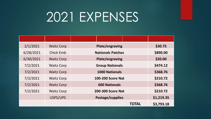## 2021 EXPENSES

| 2/1/2021  | <b>Waitz Corp</b> |                          | <b>Plate/engraving</b>   | \$30.75      |            |  |
|-----------|-------------------|--------------------------|--------------------------|--------------|------------|--|
| 6/28/2021 | <b>Chick Emb</b>  | <b>Nationals Patches</b> | \$890.00                 |              |            |  |
| 6/30/2021 | <b>Waitz Corp</b> | Plate/engraving          | \$20.00                  |              |            |  |
| 7/2/2021  | <b>Waitz Corp</b> | <b>Group Nationals</b>   | \$474.12                 |              |            |  |
| 7/2/2021  | <b>Waitz Corp</b> | <b>1000 Nationals</b>    | \$368.76                 |              |            |  |
| 7/2/2021  | <b>Waitz Corp</b> | <b>100-200 Score Nat</b> | \$210.72                 |              |            |  |
| 7/2/2021  | <b>Waitz Corp</b> |                          | \$368.76                 |              |            |  |
| 7/2/2021  | <b>Waitz Corp</b> |                          | <b>200-300 Score Nat</b> |              |            |  |
|           | USPS/UPS          |                          | Postage/supplies         | \$1,219.35   |            |  |
|           |                   |                          |                          | <b>TOTAL</b> | \$3,793.18 |  |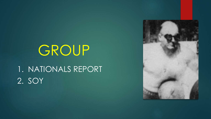## GROUP

1. NATIONALS REPORT 2. SOY

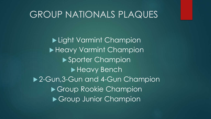#### GROUP NATIONALS PLAQUES

Light Varmint Champion Heavy Varmint Champion ▶ Sporter Champion Heavy Bench ▶ 2-Gun, 3-Gun and 4-Gun Champion ▶ Group Rookie Champion Group Junior Champion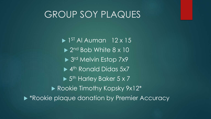#### GROUP SOY PLAQUES

 1 ST Al Auman 12 x 15 ▶ 2<sup>nd</sup> Bob White 8 x 10 ▶ 3rd Melvin Estop 7x9 ▶ 4<sup>th</sup> Ronald Didas 5x7 ▶ 5<sup>th</sup> Harley Baker 5 x 7 Rookie Timothy Kopsky 9x12\* ▶ \*Rookie plaque donation by Premier Accuracy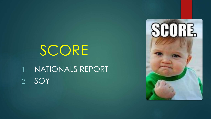## SCORE

1. NATIONALS REPORT 2. SOY

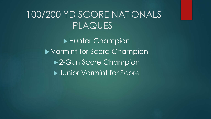#### 100/200 YD SCORE NATIONALS PLAQUES

▶ Hunter Champion Varmint for Score Champion ▶ 2-Gun Score Champion ▶ Junior Varmint for Score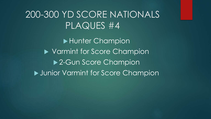#### 200-300 YD SCORE NATIONALS PLAQUES #4

▶ Hunter Champion ▶ Varmint for Score Champion ▶ 2-Gun Score Champion **Junior Varmint for Score Champion**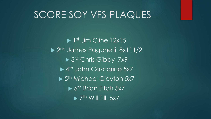#### SCORE SOY VFS PLAQUES

▶ 1<sup>st</sup> Jim Cline 12x15 ▶ 2<sup>nd</sup> James Paganelli 8x111/2 ▶ 3rd Chris Gibby 7x9 ▶ 4<sup>th</sup> John Cascarino 5x7 ▶ 5<sup>th</sup> Michael Clayton 5x7 ▶ 6<sup>th</sup> Brian Fitch 5x7  $\blacktriangleright$  7<sup>th</sup> Will Till 5x7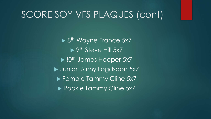#### SCORE SOY VFS PLAQUES (cont)

▶ 8<sup>th</sup> Wayne France 5x7 ▶ 9<sup>th</sup> Steve Hill 5x7 **Dianumber 10th James Hooper 5x7** ▶ Junior Ramy Logdsdon 5x7 ▶ Female Tammy Cline 5x7 Rookie Tammy Cline 5x7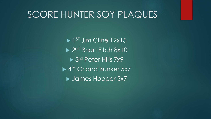#### SCORE HUNTER SOY PLAQUES

▶ 1ST Jim Cline 12x15 ▶ 2<sup>nd</sup> Brian Fitch 8x10 ▶ 3<sup>rd</sup> Peter Hills 7x9 ▶ 4<sup>th</sup> Orland Bunker 5x7 ▶ James Hooper 5x7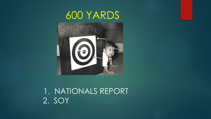#### 600 YARDS



#### 1. NATIONALS REPORT 2. SOY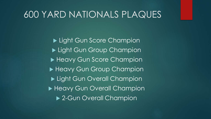#### 600 YARD NATIONALS PLAQUES

Light Gun Score Champion Light Gun Group Champion Heavy Gun Score Champion Heavy Gun Group Champion Light Gun Overall Champion ▶ Heavy Gun Overall Champion ▶ 2-Gun Overall Champion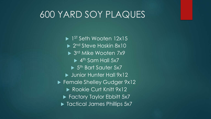#### 600 YARD SOY PLAQUES

▶ 1ST Seth Wooten 12x15 ▶ 2<sup>nd</sup> Steve Hoskin 8x10 ▶ 3<sup>rd</sup> Mike Wooten 7x9  $\blacktriangleright$  4<sup>th</sup> Sam Hall 5x7 ▶ 5<sup>th</sup> Bart Sauter 5x7 Unior Hunter Hall 9x12 **Female Shelley Gudger 9x12** Rookie Curt Knitt 9x12 ▶ Factory Taylor Ebbitt 5x7 ▶ Tactical James Phillips 5x7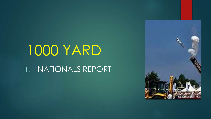# 1000 YARD

1. NATIONALS REPORT

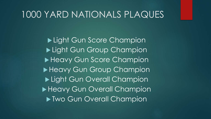#### 1000 YARD NATIONALS PLAQUES

Light Gun Score Champion Light Gun Group Champion Heavy Gun Score Champion Heavy Gun Group Champion Light Gun Overall Champion Heavy Gun Overall Champion **Two Gun Overall Champion**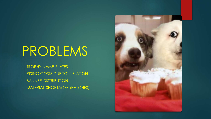## PROBLEMS

- TROPHY NAME PLATES
- RISING COSTS DUE TO INFLATION
- BANNER DISTRIBUTION
- MATERIAL SHORTAGES (PATCHES)